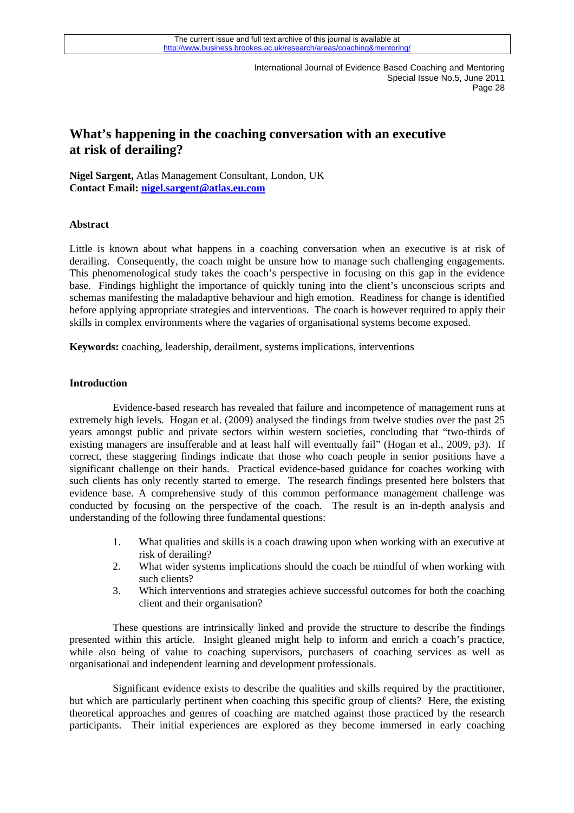# **What's happening in the coaching conversation with an executive at risk of derailing?**

**Nigel Sargent,** Atlas Management Consultant, London, UK **Contact Email: [nigel.sargent@atlas.eu.com](mailto:nigel.sargent@atlas.eu.com)** 

### **Abstract**

Little is known about what happens in a coaching conversation when an executive is at risk of derailing. Consequently, the coach might be unsure how to manage such challenging engagements. This phenomenological study takes the coach's perspective in focusing on this gap in the evidence base. Findings highlight the importance of quickly tuning into the client's unconscious scripts and schemas manifesting the maladaptive behaviour and high emotion. Readiness for change is identified before applying appropriate strategies and interventions. The coach is however required to apply their skills in complex environments where the vagaries of organisational systems become exposed.

**Keywords:** coaching, leadership, derailment, systems implications, interventions

#### **Introduction**

Evidence-based research has revealed that failure and incompetence of management runs at extremely high levels. Hogan et al. (2009) analysed the findings from twelve studies over the past 25 years amongst public and private sectors within western societies, concluding that "two-thirds of existing managers are insufferable and at least half will eventually fail" (Hogan et al., 2009, p3). If correct, these staggering findings indicate that those who coach people in senior positions have a significant challenge on their hands. Practical evidence-based guidance for coaches working with such clients has only recently started to emerge. The research findings presented here bolsters that evidence base. A comprehensive study of this common performance management challenge was conducted by focusing on the perspective of the coach. The result is an in-depth analysis and understanding of the following three fundamental questions:

- 1. What qualities and skills is a coach drawing upon when working with an executive at risk of derailing?
- 2. What wider systems implications should the coach be mindful of when working with such clients?
- 3. Which interventions and strategies achieve successful outcomes for both the coaching client and their organisation?

These questions are intrinsically linked and provide the structure to describe the findings presented within this article. Insight gleaned might help to inform and enrich a coach's practice, while also being of value to coaching supervisors, purchasers of coaching services as well as organisational and independent learning and development professionals.

28 participants. Their initial experiences are explored as they become immersed in early coaching Significant evidence exists to describe the qualities and skills required by the practitioner, but which are particularly pertinent when coaching this specific group of clients? Here, the existing theoretical approaches and genres of coaching are matched against those practiced by the research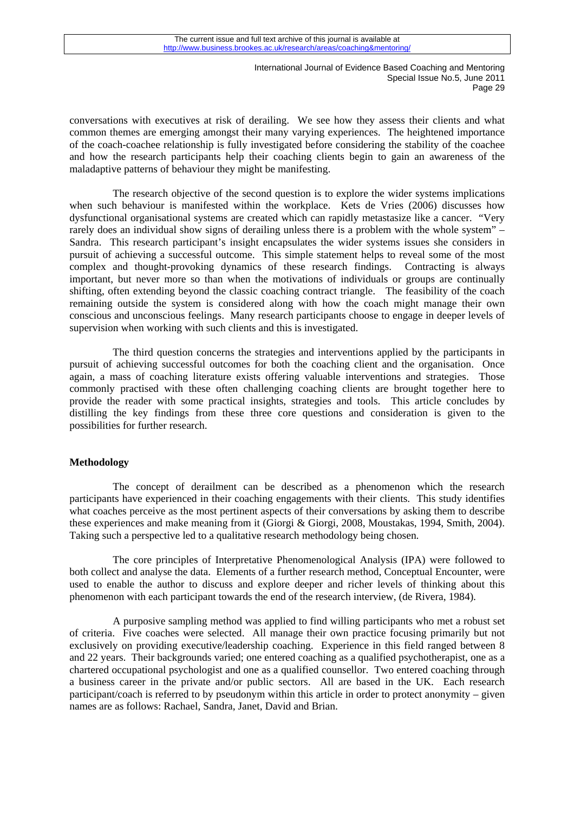conversations with executives at risk of derailing. We see how they assess their clients and what common themes are emerging amongst their many varying experiences. The heightened importance of the coach-coachee relationship is fully investigated before considering the stability of the coachee and how the research participants help their coaching clients begin to gain an awareness of the maladaptive patterns of behaviour they might be manifesting.

The research objective of the second question is to explore the wider systems implications when such behaviour is manifested within the workplace. Kets de Vries (2006) discusses how dysfunctional organisational systems are created which can rapidly metastasize like a cancer. "Very rarely does an individual show signs of derailing unless there is a problem with the whole system" – Sandra. This research participant's insight encapsulates the wider systems issues she considers in pursuit of achieving a successful outcome. This simple statement helps to reveal some of the most complex and thought-provoking dynamics of these research findings. Contracting is always important, but never more so than when the motivations of individuals or groups are continually shifting, often extending beyond the classic coaching contract triangle. The feasibility of the coach remaining outside the system is considered along with how the coach might manage their own conscious and unconscious feelings. Many research participants choose to engage in deeper levels of supervision when working with such clients and this is investigated.

The third question concerns the strategies and interventions applied by the participants in pursuit of achieving successful outcomes for both the coaching client and the organisation. Once again, a mass of coaching literature exists offering valuable interventions and strategies. Those commonly practised with these often challenging coaching clients are brought together here to provide the reader with some practical insights, strategies and tools. This article concludes by distilling the key findings from these three core questions and consideration is given to the possibilities for further research.

## **Methodology**

The concept of derailment can be described as a phenomenon which the research participants have experienced in their coaching engagements with their clients. This study identifies what coaches perceive as the most pertinent aspects of their conversations by asking them to describe these experiences and make meaning from it (Giorgi & Giorgi, 2008, Moustakas, 1994, Smith, 2004). Taking such a perspective led to a qualitative research methodology being chosen.

The core principles of Interpretative Phenomenological Analysis (IPA) were followed to both collect and analyse the data. Elements of a further research method, Conceptual Encounter, were used to enable the author to discuss and explore deeper and richer levels of thinking about this phenomenon with each participant towards the end of the research interview, (de Rivera, 1984).

A purposive sampling method was applied to find willing participants who met a robust set of criteria. Five coaches were selected. All manage their own practice focusing primarily but not exclusively on providing executive/leadership coaching. Experience in this field ranged between 8 and 22 years. Their backgrounds varied; one entered coaching as a qualified psychotherapist, one as a chartered occupational psychologist and one as a qualified counsellor. Two entered coaching through a business career in the private and/or public sectors. All are based in the UK. Each research participant/coach is referred to by pseudonym within this article in order to protect anonymity – given names are as follows: Rachael, Sandra, Janet, David and Brian.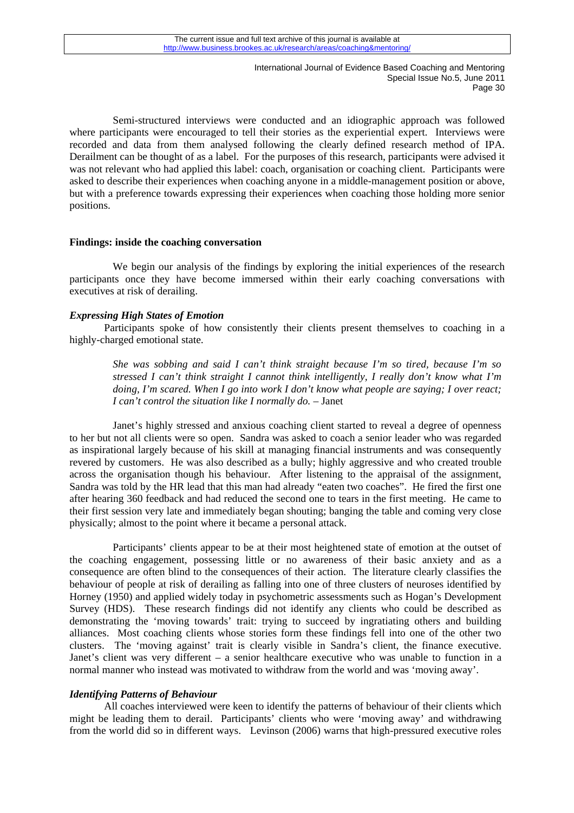Semi-structured interviews were conducted and an idiographic approach was followed where participants were encouraged to tell their stories as the experiential expert. Interviews were recorded and data from them analysed following the clearly defined research method of IPA. Derailment can be thought of as a label. For the purposes of this research, participants were advised it was not relevant who had applied this label: coach, organisation or coaching client. Participants were asked to describe their experiences when coaching anyone in a middle-management position or above, but with a preference towards expressing their experiences when coaching those holding more senior positions.

#### **Findings: inside the coaching conversation**

We begin our analysis of the findings by exploring the initial experiences of the research participants once they have become immersed within their early coaching conversations with executives at risk of derailing.

## *Expressing High States of Emotion*

Participants spoke of how consistently their clients present themselves to coaching in a highly-charged emotional state.

*She was sobbing and said I can't think straight because I'm so tired, because I'm so stressed I can't think straight I cannot think intelligently, I really don't know what I'm doing, I'm scared. When I go into work I don't know what people are saying; I over react; I can't control the situation like I normally do.* – Janet

Janet's highly stressed and anxious coaching client started to reveal a degree of openness to her but not all clients were so open. Sandra was asked to coach a senior leader who was regarded as inspirational largely because of his skill at managing financial instruments and was consequently revered by customers. He was also described as a bully; highly aggressive and who created trouble across the organisation though his behaviour. After listening to the appraisal of the assignment, Sandra was told by the HR lead that this man had already "eaten two coaches". He fired the first one after hearing 360 feedback and had reduced the second one to tears in the first meeting. He came to their first session very late and immediately began shouting; banging the table and coming very close physically; almost to the point where it became a personal attack.

Participants' clients appear to be at their most heightened state of emotion at the outset of the coaching engagement, possessing little or no awareness of their basic anxiety and as a consequence are often blind to the consequences of their action. The literature clearly classifies the behaviour of people at risk of derailing as falling into one of three clusters of neuroses identified by Horney (1950) and applied widely today in psychometric assessments such as Hogan's Development Survey (HDS). These research findings did not identify any clients who could be described as demonstrating the 'moving towards' trait: trying to succeed by ingratiating others and building alliances. Most coaching clients whose stories form these findings fell into one of the other two clusters. The 'moving against' trait is clearly visible in Sandra's client, the finance executive. Janet's client was very different – a senior healthcare executive who was unable to function in a normal manner who instead was motivated to withdraw from the world and was 'moving away'.

## *Identifying Patterns of Behaviour*

All coaches interviewed were keen to identify the patterns of behaviour of their clients which might be leading them to derail. Participants' clients who were 'moving away' and withdrawing from the world did so in different ways. Levinson (2006) warns that high-pressured executive roles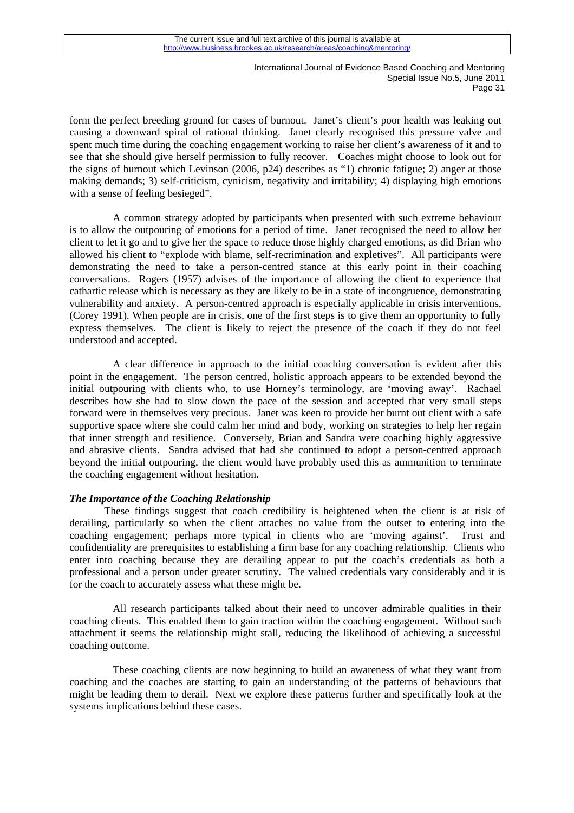form the perfect breeding ground for cases of burnout. Janet's client's poor health was leaking out causing a downward spiral of rational thinking. Janet clearly recognised this pressure valve and spent much time during the coaching engagement working to raise her client's awareness of it and to see that she should give herself permission to fully recover. Coaches might choose to look out for the signs of burnout which Levinson (2006, p24) describes as "1) chronic fatigue; 2) anger at those making demands; 3) self-criticism, cynicism, negativity and irritability; 4) displaying high emotions with a sense of feeling besieged".

A common strategy adopted by participants when presented with such extreme behaviour is to allow the outpouring of emotions for a period of time. Janet recognised the need to allow her client to let it go and to give her the space to reduce those highly charged emotions, as did Brian who allowed his client to "explode with blame, self-recrimination and expletives". All participants were demonstrating the need to take a person-centred stance at this early point in their coaching conversations. Rogers (1957) advises of the importance of allowing the client to experience that cathartic release which is necessary as they are likely to be in a state of incongruence, demonstrating vulnerability and anxiety. A person-centred approach is especially applicable in crisis interventions, (Corey 1991). When people are in crisis, one of the first steps is to give them an opportunity to fully express themselves. The client is likely to reject the presence of the coach if they do not feel understood and accepted.

A clear difference in approach to the initial coaching conversation is evident after this point in the engagement. The person centred, holistic approach appears to be extended beyond the initial outpouring with clients who, to use Horney's terminology, are 'moving away'. Rachael describes how she had to slow down the pace of the session and accepted that very small steps forward were in themselves very precious. Janet was keen to provide her burnt out client with a safe supportive space where she could calm her mind and body, working on strategies to help her regain that inner strength and resilience. Conversely, Brian and Sandra were coaching highly aggressive and abrasive clients. Sandra advised that had she continued to adopt a person-centred approach beyond the initial outpouring, the client would have probably used this as ammunition to terminate the coaching engagement without hesitation.

#### *The Importance of the Coaching Relationship*

These findings suggest that coach credibility is heightened when the client is at risk of derailing, particularly so when the client attaches no value from the outset to entering into the coaching engagement; perhaps more typical in clients who are 'moving against'. Trust and confidentiality are prerequisites to establishing a firm base for any coaching relationship. Clients who enter into coaching because they are derailing appear to put the coach's credentials as both a professional and a person under greater scrutiny. The valued credentials vary considerably and it is for the coach to accurately assess what these might be.

All research participants talked about their need to uncover admirable qualities in their coaching clients. This enabled them to gain traction within the coaching engagement. Without such attachment it seems the relationship might stall, reducing the likelihood of achieving a successful coaching outcome.

These coaching clients are now beginning to build an awareness of what they want from coaching and the coaches are starting to gain an understanding of the patterns of behaviours that might be leading them to derail. Next we explore these patterns further and specifically look at the systems implications behind these cases.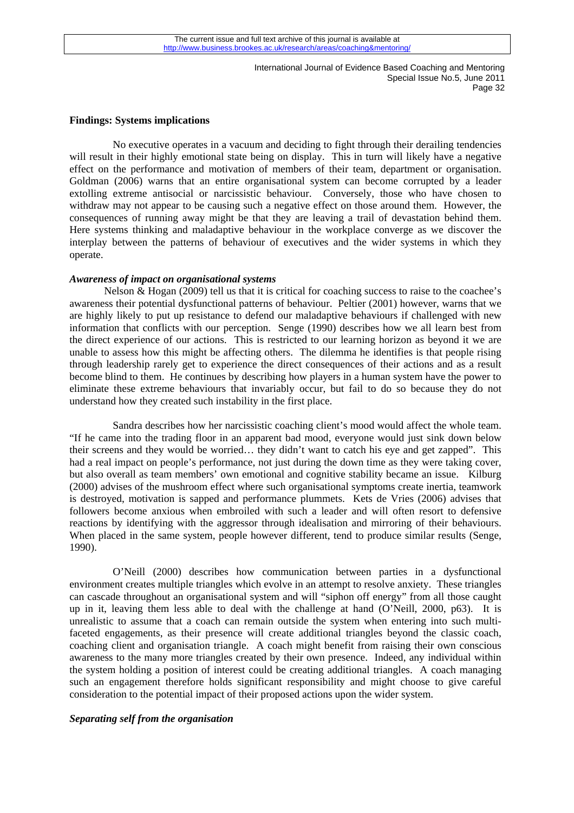#### **Findings: Systems implications**

No executive operates in a vacuum and deciding to fight through their derailing tendencies will result in their highly emotional state being on display. This in turn will likely have a negative effect on the performance and motivation of members of their team, department or organisation. Goldman (2006) warns that an entire organisational system can become corrupted by a leader extolling extreme antisocial or narcissistic behaviour. Conversely, those who have chosen to withdraw may not appear to be causing such a negative effect on those around them. However, the consequences of running away might be that they are leaving a trail of devastation behind them. Here systems thinking and maladaptive behaviour in the workplace converge as we discover the interplay between the patterns of behaviour of executives and the wider systems in which they operate.

#### *Awareness of impact on organisational systems*

Nelson & Hogan (2009) tell us that it is critical for coaching success to raise to the coachee's awareness their potential dysfunctional patterns of behaviour. Peltier (2001) however, warns that we are highly likely to put up resistance to defend our maladaptive behaviours if challenged with new information that conflicts with our perception. Senge (1990) describes how we all learn best from the direct experience of our actions. This is restricted to our learning horizon as beyond it we are unable to assess how this might be affecting others. The dilemma he identifies is that people rising through leadership rarely get to experience the direct consequences of their actions and as a result become blind to them. He continues by describing how players in a human system have the power to eliminate these extreme behaviours that invariably occur, but fail to do so because they do not understand how they created such instability in the first place.

Sandra describes how her narcissistic coaching client's mood would affect the whole team. "If he came into the trading floor in an apparent bad mood, everyone would just sink down below their screens and they would be worried… they didn't want to catch his eye and get zapped". This had a real impact on people's performance, not just during the down time as they were taking cover, but also overall as team members' own emotional and cognitive stability became an issue. Kilburg (2000) advises of the mushroom effect where such organisational symptoms create inertia, teamwork is destroyed, motivation is sapped and performance plummets. Kets de Vries (2006) advises that followers become anxious when embroiled with such a leader and will often resort to defensive reactions by identifying with the aggressor through idealisation and mirroring of their behaviours. When placed in the same system, people however different, tend to produce similar results (Senge, 1990).

O'Neill (2000) describes how communication between parties in a dysfunctional environment creates multiple triangles which evolve in an attempt to resolve anxiety. These triangles can cascade throughout an organisational system and will "siphon off energy" from all those caught up in it, leaving them less able to deal with the challenge at hand (O'Neill, 2000, p63). It is unrealistic to assume that a coach can remain outside the system when entering into such multifaceted engagements, as their presence will create additional triangles beyond the classic coach, coaching client and organisation triangle. A coach might benefit from raising their own conscious awareness to the many more triangles created by their own presence. Indeed, any individual within the system holding a position of interest could be creating additional triangles. A coach managing such an engagement therefore holds significant responsibility and might choose to give careful consideration to the potential impact of their proposed actions upon the wider system.

#### *Separating self from the organisation*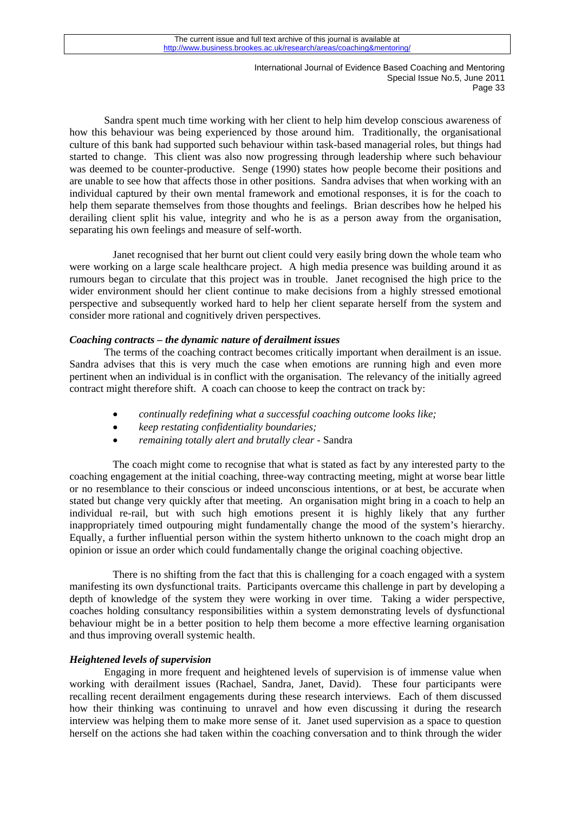Sandra spent much time working with her client to help him develop conscious awareness of how this behaviour was being experienced by those around him. Traditionally, the organisational culture of this bank had supported such behaviour within task-based managerial roles, but things had started to change. This client was also now progressing through leadership where such behaviour was deemed to be counter-productive. Senge (1990) states how people become their positions and are unable to see how that affects those in other positions. Sandra advises that when working with an individual captured by their own mental framework and emotional responses, it is for the coach to help them separate themselves from those thoughts and feelings. Brian describes how he helped his derailing client split his value, integrity and who he is as a person away from the organisation, separating his own feelings and measure of self-worth.

Janet recognised that her burnt out client could very easily bring down the whole team who were working on a large scale healthcare project. A high media presence was building around it as rumours began to circulate that this project was in trouble. Janet recognised the high price to the wider environment should her client continue to make decisions from a highly stressed emotional perspective and subsequently worked hard to help her client separate herself from the system and consider more rational and cognitively driven perspectives.

## *Coaching contracts – the dynamic nature of derailment issues*

The terms of the coaching contract becomes critically important when derailment is an issue. Sandra advises that this is very much the case when emotions are running high and even more pertinent when an individual is in conflict with the organisation. The relevancy of the initially agreed contract might therefore shift. A coach can choose to keep the contract on track by:

- *continually redefining what a successful coaching outcome looks like;*
- *keep restating confidentiality boundaries;*
- *remaining totally alert and brutally clear* Sandra

The coach might come to recognise that what is stated as fact by any interested party to the coaching engagement at the initial coaching, three-way contracting meeting, might at worse bear little or no resemblance to their conscious or indeed unconscious intentions, or at best, be accurate when stated but change very quickly after that meeting. An organisation might bring in a coach to help an individual re-rail, but with such high emotions present it is highly likely that any further inappropriately timed outpouring might fundamentally change the mood of the system's hierarchy. Equally, a further influential person within the system hitherto unknown to the coach might drop an opinion or issue an order which could fundamentally change the original coaching objective.

There is no shifting from the fact that this is challenging for a coach engaged with a system manifesting its own dysfunctional traits. Participants overcame this challenge in part by developing a depth of knowledge of the system they were working in over time. Taking a wider perspective, coaches holding consultancy responsibilities within a system demonstrating levels of dysfunctional behaviour might be in a better position to help them become a more effective learning organisation and thus improving overall systemic health.

#### *Heightened levels of supervision*

Engaging in more frequent and heightened levels of supervision is of immense value when working with derailment issues (Rachael, Sandra, Janet, David). These four participants were recalling recent derailment engagements during these research interviews. Each of them discussed how their thinking was continuing to unravel and how even discussing it during the research interview was helping them to make more sense of it. Janet used supervision as a space to question herself on the actions she had taken within the coaching conversation and to think through the wider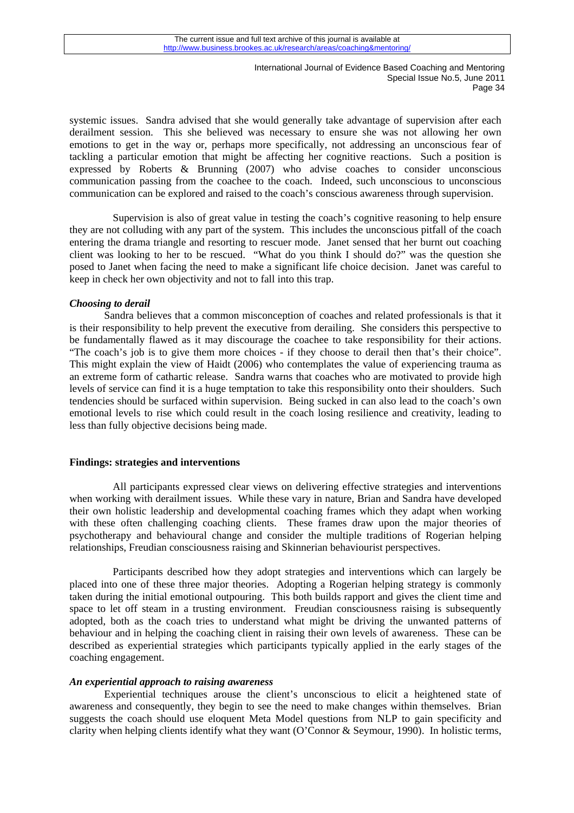systemic issues. Sandra advised that she would generally take advantage of supervision after each derailment session. This she believed was necessary to ensure she was not allowing her own emotions to get in the way or, perhaps more specifically, not addressing an unconscious fear of tackling a particular emotion that might be affecting her cognitive reactions. Such a position is expressed by Roberts & Brunning (2007) who advise coaches to consider unconscious communication passing from the coachee to the coach. Indeed, such unconscious to unconscious communication can be explored and raised to the coach's conscious awareness through supervision.

Supervision is also of great value in testing the coach's cognitive reasoning to help ensure they are not colluding with any part of the system. This includes the unconscious pitfall of the coach entering the drama triangle and resorting to rescuer mode. Janet sensed that her burnt out coaching client was looking to her to be rescued. "What do you think I should do?" was the question she posed to Janet when facing the need to make a significant life choice decision. Janet was careful to keep in check her own objectivity and not to fall into this trap.

### *Choosing to derail*

Sandra believes that a common misconception of coaches and related professionals is that it is their responsibility to help prevent the executive from derailing. She considers this perspective to be fundamentally flawed as it may discourage the coachee to take responsibility for their actions. "The coach's job is to give them more choices - if they choose to derail then that's their choice". This might explain the view of Haidt (2006) who contemplates the value of experiencing trauma as an extreme form of cathartic release. Sandra warns that coaches who are motivated to provide high levels of service can find it is a huge temptation to take this responsibility onto their shoulders. Such tendencies should be surfaced within supervision. Being sucked in can also lead to the coach's own emotional levels to rise which could result in the coach losing resilience and creativity, leading to less than fully objective decisions being made.

#### **Findings: strategies and interventions**

All participants expressed clear views on delivering effective strategies and interventions when working with derailment issues. While these vary in nature, Brian and Sandra have developed their own holistic leadership and developmental coaching frames which they adapt when working with these often challenging coaching clients. These frames draw upon the major theories of psychotherapy and behavioural change and consider the multiple traditions of Rogerian helping relationships, Freudian consciousness raising and Skinnerian behaviourist perspectives.

Participants described how they adopt strategies and interventions which can largely be placed into one of these three major theories. Adopting a Rogerian helping strategy is commonly taken during the initial emotional outpouring. This both builds rapport and gives the client time and space to let off steam in a trusting environment. Freudian consciousness raising is subsequently adopted, both as the coach tries to understand what might be driving the unwanted patterns of behaviour and in helping the coaching client in raising their own levels of awareness. These can be described as experiential strategies which participants typically applied in the early stages of the coaching engagement.

#### *An experiential approach to raising awareness*

suggests the coach should use eloquent Meta Model questions from NLP to gain specificity and Experiential techniques arouse the client's unconscious to elicit a heightened state of awareness and consequently, they begin to see the need to make changes within themselves. Brian clarity when helping clients identify what they want (O'Connor & Seymour, 1990). In holistic terms,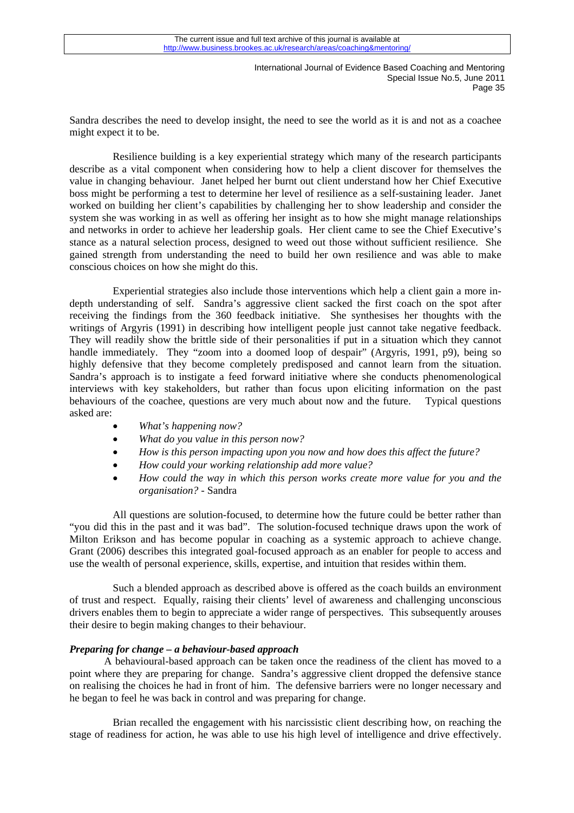Sandra describes the need to develop insight, the need to see the world as it is and not as a coachee might expect it to be.

Resilience building is a key experiential strategy which many of the research participants describe as a vital component when considering how to help a client discover for themselves the value in changing behaviour. Janet helped her burnt out client understand how her Chief Executive boss might be performing a test to determine her level of resilience as a self-sustaining leader. Janet worked on building her client's capabilities by challenging her to show leadership and consider the system she was working in as well as offering her insight as to how she might manage relationships and networks in order to achieve her leadership goals. Her client came to see the Chief Executive's stance as a natural selection process, designed to weed out those without sufficient resilience. She gained strength from understanding the need to build her own resilience and was able to make conscious choices on how she might do this.

Experiential strategies also include those interventions which help a client gain a more indepth understanding of self. Sandra's aggressive client sacked the first coach on the spot after receiving the findings from the 360 feedback initiative. She synthesises her thoughts with the writings of Argyris (1991) in describing how intelligent people just cannot take negative feedback. They will readily show the brittle side of their personalities if put in a situation which they cannot handle immediately. They "zoom into a doomed loop of despair" (Argyris, 1991, p9), being so highly defensive that they become completely predisposed and cannot learn from the situation. Sandra's approach is to instigate a feed forward initiative where she conducts phenomenological interviews with key stakeholders, but rather than focus upon eliciting information on the past behaviours of the coachee, questions are very much about now and the future. Typical questions asked are:

- *What's happening now?*
- *What do you value in this person now?*
- *How is this person impacting upon you now and how does this affect the future?*
- *How could your working relationship add more value?*
- *How could the way in which this person works create more value for you and the organisation?* - Sandra

All questions are solution-focused, to determine how the future could be better rather than "you did this in the past and it was bad". The solution-focused technique draws upon the work of Milton Erikson and has become popular in coaching as a systemic approach to achieve change. Grant (2006) describes this integrated goal-focused approach as an enabler for people to access and use the wealth of personal experience, skills, expertise, and intuition that resides within them.

Such a blended approach as described above is offered as the coach builds an environment of trust and respect. Equally, raising their clients' level of awareness and challenging unconscious drivers enables them to begin to appreciate a wider range of perspectives. This subsequently arouses their desire to begin making changes to their behaviour.

#### *Preparing for change – a behaviour-based approach*

A behavioural-based approach can be taken once the readiness of the client has moved to a point where they are preparing for change. Sandra's aggressive client dropped the defensive stance on realising the choices he had in front of him. The defensive barriers were no longer necessary and he began to feel he was back in control and was preparing for change.

Brian recalled the engagement with his narcissistic client describing how, on reaching the stage of readiness for action, he was able to use his high level of intelligence and drive effectively.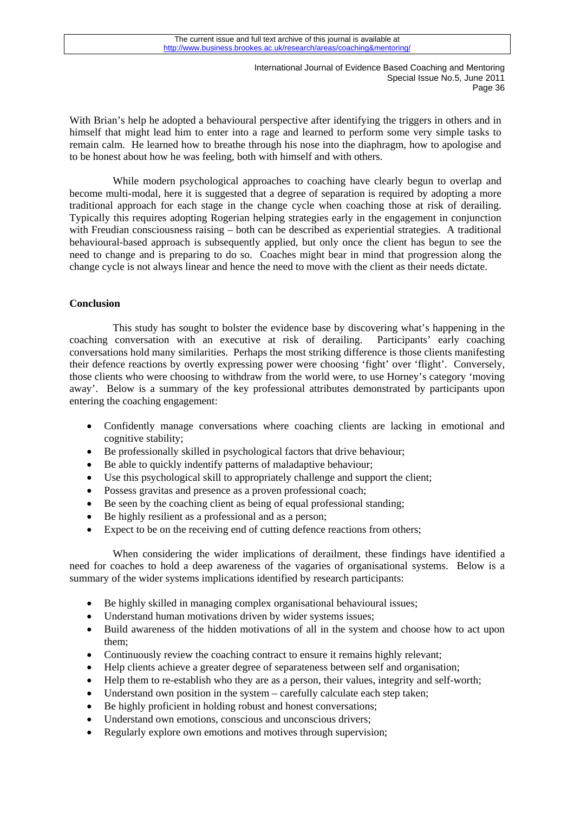With Brian's help he adopted a behavioural perspective after identifying the triggers in others and in himself that might lead him to enter into a rage and learned to perform some very simple tasks to remain calm. He learned how to breathe through his nose into the diaphragm, how to apologise and to be honest about how he was feeling, both with himself and with others.

While modern psychological approaches to coaching have clearly begun to overlap and become multi-modal, here it is suggested that a degree of separation is required by adopting a more traditional approach for each stage in the change cycle when coaching those at risk of derailing. Typically this requires adopting Rogerian helping strategies early in the engagement in conjunction with Freudian consciousness raising – both can be described as experiential strategies. A traditional behavioural-based approach is subsequently applied, but only once the client has begun to see the need to change and is preparing to do so. Coaches might bear in mind that progression along the change cycle is not always linear and hence the need to move with the client as their needs dictate.

## **Conclusion**

This study has sought to bolster the evidence base by discovering what's happening in the coaching conversation with an executive at risk of derailing. Participants' early coaching conversations hold many similarities. Perhaps the most striking difference is those clients manifesting their defence reactions by overtly expressing power were choosing 'fight' over 'flight'. Conversely, those clients who were choosing to withdraw from the world were, to use Horney's category 'moving away'. Below is a summary of the key professional attributes demonstrated by participants upon entering the coaching engagement:

- Confidently manage conversations where coaching clients are lacking in emotional and cognitive stability;
- Be professionally skilled in psychological factors that drive behaviour:
- Be able to quickly indentify patterns of maladaptive behaviour;
- Use this psychological skill to appropriately challenge and support the client;
- Possess gravitas and presence as a proven professional coach;
- Be seen by the coaching client as being of equal professional standing;
- Be highly resilient as a professional and as a person;
- Expect to be on the receiving end of cutting defence reactions from others;

When considering the wider implications of derailment, these findings have identified a need for coaches to hold a deep awareness of the vagaries of organisational systems. Below is a summary of the wider systems implications identified by research participants:

- Be highly skilled in managing complex organisational behavioural issues;
- Understand human motivations driven by wider systems issues;
- Build awareness of the hidden motivations of all in the system and choose how to act upon them;
- Continuously review the coaching contract to ensure it remains highly relevant;
- Help clients achieve a greater degree of separateness between self and organisation;
- Help them to re-establish who they are as a person, their values, integrity and self-worth;
- Understand own position in the system carefully calculate each step taken;
- Be highly proficient in holding robust and honest conversations;
- Understand own emotions, conscious and unconscious drivers;
- Regularly explore own emotions and motives through supervision;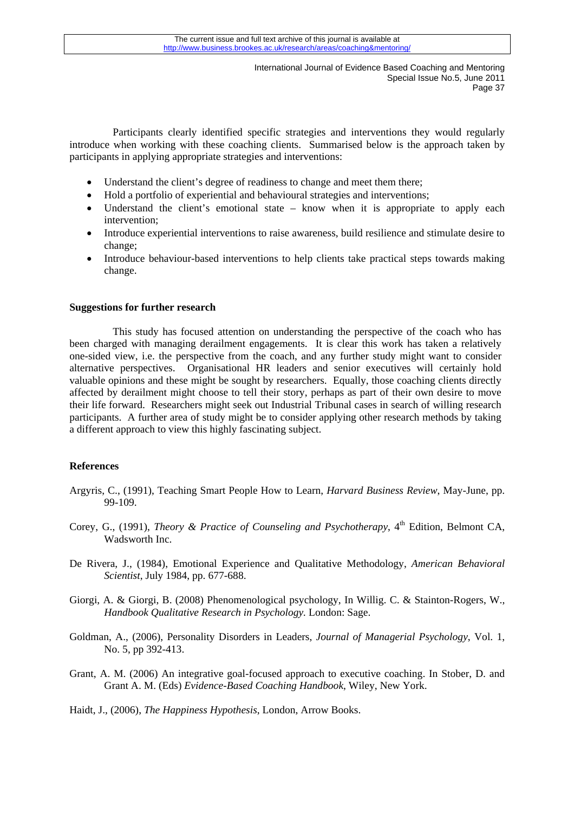Participants clearly identified specific strategies and interventions they would regularly introduce when working with these coaching clients. Summarised below is the approach taken by participants in applying appropriate strategies and interventions:

- Understand the client's degree of readiness to change and meet them there;
- Hold a portfolio of experiential and behavioural strategies and interventions;
- Understand the client's emotional state know when it is appropriate to apply each intervention;
- Introduce experiential interventions to raise awareness, build resilience and stimulate desire to change;
- Introduce behaviour-based interventions to help clients take practical steps towards making change.

### **Suggestions for further research**

This study has focused attention on understanding the perspective of the coach who has been charged with managing derailment engagements. It is clear this work has taken a relatively one-sided view, i.e. the perspective from the coach, and any further study might want to consider alternative perspectives. Organisational HR leaders and senior executives will certainly hold valuable opinions and these might be sought by researchers. Equally, those coaching clients directly affected by derailment might choose to tell their story, perhaps as part of their own desire to move their life forward. Researchers might seek out Industrial Tribunal cases in search of willing research participants. A further area of study might be to consider applying other research methods by taking a different approach to view this highly fascinating subject.

## **References**

- Argyris, C., (1991), Teaching Smart People How to Learn, *Harvard Business Review*, May-June, pp. 99-109.
- Corey, G., (1991), *Theory & Practice of Counseling and Psychotherapy*, 4<sup>th</sup> Edition, Belmont CA, Wadsworth Inc.
- De Rivera, J., (1984), Emotional Experience and Qualitative Methodology, *American Behavioral Scientist*, July 1984, pp. 677-688.
- Giorgi, A. & Giorgi, B. (2008) Phenomenological psychology, In Willig. C. & Stainton-Rogers, W., *Handbook Qualitative Research in Psychology.* London: Sage.
- Goldman, A., (2006), Personality Disorders in Leaders, *Journal of Managerial Psychology*, Vol. 1, No. 5, pp 392-413.
- Grant, A. M. (2006) An integrative goal-focused approach to executive coaching. In Stober, D. and Grant A. M. (Eds) *Evidence-Based Coaching Handbook*, Wiley, New York.

Haidt, J., (2006), *The Happiness Hypothesis*, London, Arrow Books.